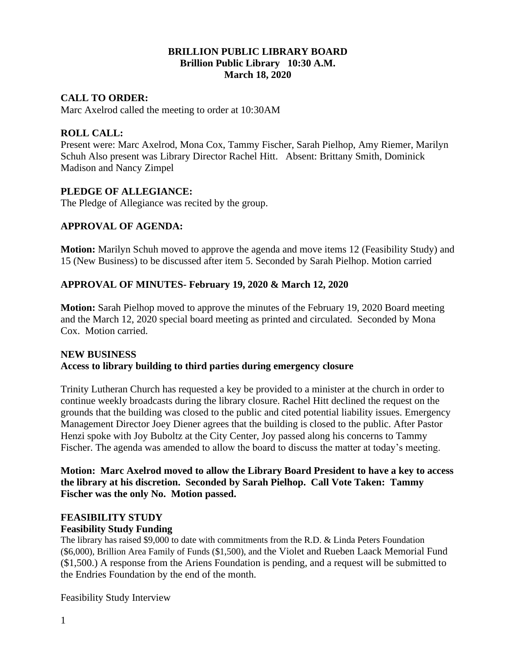#### **BRILLION PUBLIC LIBRARY BOARD Brillion Public Library 10:30 A.M. March 18, 2020**

#### **CALL TO ORDER:**

Marc Axelrod called the meeting to order at 10:30AM

#### **ROLL CALL:**

Present were: Marc Axelrod, Mona Cox, Tammy Fischer, Sarah Pielhop, Amy Riemer, Marilyn Schuh Also present was Library Director Rachel Hitt. Absent: Brittany Smith, Dominick Madison and Nancy Zimpel

#### **PLEDGE OF ALLEGIANCE:**

The Pledge of Allegiance was recited by the group.

#### **APPROVAL OF AGENDA:**

**Motion:** Marilyn Schuh moved to approve the agenda and move items 12 (Feasibility Study) and 15 (New Business) to be discussed after item 5. Seconded by Sarah Pielhop. Motion carried

#### **APPROVAL OF MINUTES- February 19, 2020 & March 12, 2020**

**Motion:** Sarah Pielhop moved to approve the minutes of the February 19, 2020 Board meeting and the March 12, 2020 special board meeting as printed and circulated. Seconded by Mona Cox. Motion carried.

#### **NEW BUSINESS**

#### **Access to library building to third parties during emergency closure**

Trinity Lutheran Church has requested a key be provided to a minister at the church in order to continue weekly broadcasts during the library closure. Rachel Hitt declined the request on the grounds that the building was closed to the public and cited potential liability issues. Emergency Management Director Joey Diener agrees that the building is closed to the public. After Pastor Henzi spoke with Joy Buboltz at the City Center, Joy passed along his concerns to Tammy Fischer. The agenda was amended to allow the board to discuss the matter at today's meeting.

**Motion: Marc Axelrod moved to allow the Library Board President to have a key to access the library at his discretion. Seconded by Sarah Pielhop. Call Vote Taken: Tammy Fischer was the only No. Motion passed.**

# **FEASIBILITY STUDY**

## **Feasibility Study Funding**

The library has raised \$9,000 to date with commitments from the R.D. & Linda Peters Foundation (\$6,000), Brillion Area Family of Funds (\$1,500), and the Violet and Rueben Laack Memorial Fund (\$1,500.) A response from the Ariens Foundation is pending, and a request will be submitted to the Endries Foundation by the end of the month.

Feasibility Study Interview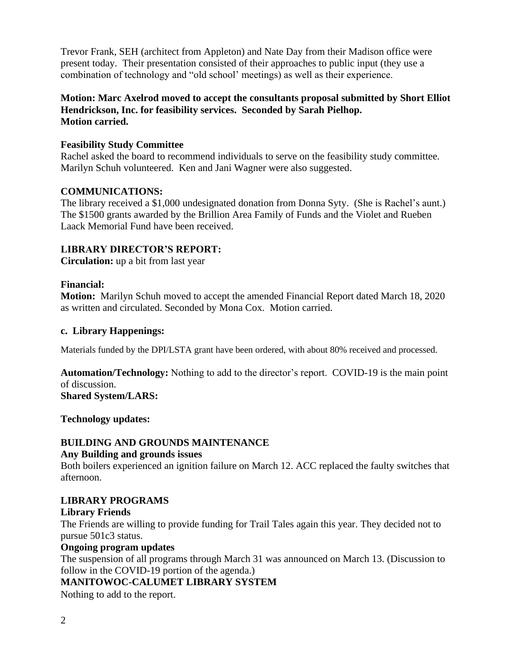Trevor Frank, SEH (architect from Appleton) and Nate Day from their Madison office were present today. Their presentation consisted of their approaches to public input (they use a combination of technology and "old school' meetings) as well as their experience.

## **Motion: Marc Axelrod moved to accept the consultants proposal submitted by Short Elliot Hendrickson, Inc. for feasibility services. Seconded by Sarah Pielhop. Motion carried.**

## **Feasibility Study Committee**

Rachel asked the board to recommend individuals to serve on the feasibility study committee. Marilyn Schuh volunteered. Ken and Jani Wagner were also suggested.

## **COMMUNICATIONS:**

The library received a \$1,000 undesignated donation from Donna Syty. (She is Rachel's aunt.) The \$1500 grants awarded by the Brillion Area Family of Funds and the Violet and Rueben Laack Memorial Fund have been received.

## **LIBRARY DIRECTOR'S REPORT:**

**Circulation:** up a bit from last year

## **Financial:**

**Motion:** Marilyn Schuh moved to accept the amended Financial Report dated March 18, 2020 as written and circulated. Seconded by Mona Cox. Motion carried.

## **c. Library Happenings:**

Materials funded by the DPI/LSTA grant have been ordered, with about 80% received and processed.

**Automation/Technology:** Nothing to add to the director's report. COVID-19 is the main point of discussion.

**Shared System/LARS:** 

**Technology updates:** 

## **BUILDING AND GROUNDS MAINTENANCE**

## **Any Building and grounds issues**

Both boilers experienced an ignition failure on March 12. ACC replaced the faulty switches that afternoon.

## **LIBRARY PROGRAMS**

## **Library Friends**

The Friends are willing to provide funding for Trail Tales again this year. They decided not to pursue 501c3 status.

## **Ongoing program updates**

The suspension of all programs through March 31 was announced on March 13. (Discussion to follow in the COVID-19 portion of the agenda.)

## **MANITOWOC-CALUMET LIBRARY SYSTEM**

Nothing to add to the report.